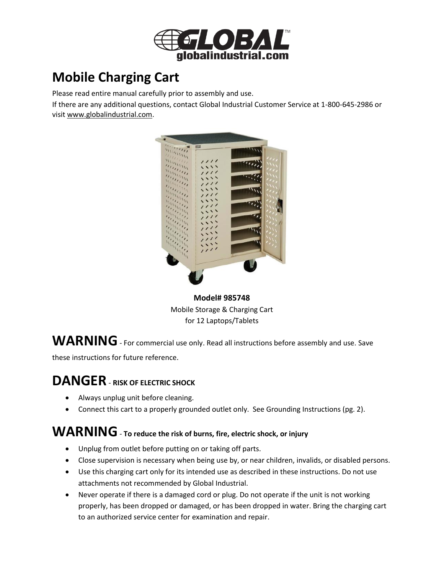

# **Mobile Charging Cart**

Please read entire manual carefully prior to assembly and use.

If there are any additional questions, contact Global Industrial Customer Service at 1-800-645-2986 or visi[t www.globalindustrial.com.](http://www.globalindustrial.com/)



**Model# 985748** Mobile Storage & Charging Cart for 12 Laptops/Tablets

WARNING - For commercial use only. Read all instructions before assembly and use. Save

these instructions for future reference.

# **DANGER**- **RISK OF ELECTRIC SHOCK**

- Always unplug unit before cleaning.
- Connect this cart to a properly grounded outlet only. See Grounding Instructions (pg. 2).

### **WARNING**- **To reduce the risk of burns, fire, electric shock, or injury**

- Unplug from outlet before putting on or taking off parts.
- Close supervision is necessary when being use by, or near children, invalids, or disabled persons.
- Use this charging cart only for its intended use as described in these instructions. Do not use attachments not recommended by Global Industrial.
- Never operate if there is a damaged cord or plug. Do not operate if the unit is not working properly, has been dropped or damaged, or has been dropped in water. Bring the charging cart to an authorized service center for examination and repair.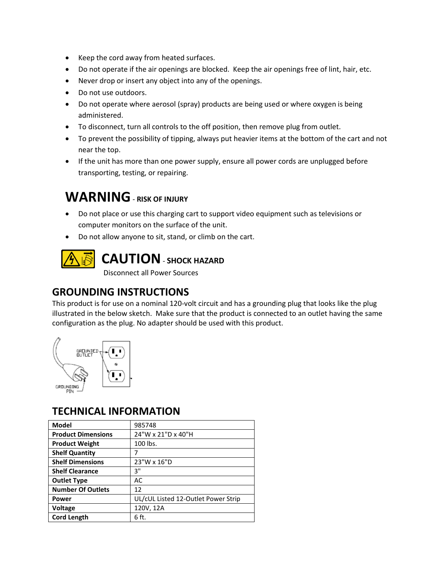- Keep the cord away from heated surfaces.
- Do not operate if the air openings are blocked. Keep the air openings free of lint, hair, etc.
- Never drop or insert any object into any of the openings.
- Do not use outdoors.
- Do not operate where aerosol (spray) products are being used or where oxygen is being administered.
- To disconnect, turn all controls to the off position, then remove plug from outlet.
- To prevent the possibility of tipping, always put heavier items at the bottom of the cart and not near the top.
- If the unit has more than one power supply, ensure all power cords are unplugged before transporting, testing, or repairing.

## **WARNING**- **RISK OF INJURY**

- Do not place or use this charging cart to support video equipment such as televisions or computer monitors on the surface of the unit.
- Do not allow anyone to sit, stand, or climb on the cart.



## **CAUTION**- **SHOCK HAZARD**

Disconnect all Power Sources

#### **GROUNDING INSTRUCTIONS**

This product is for use on a nominal 120-volt circuit and has a grounding plug that looks like the plug illustrated in the below sketch. Make sure that the product is connected to an outlet having the same configuration as the plug. No adapter should be used with this product.



#### **TECHNICAL INFORMATION**

| <b>Model</b>              | 985748                              |
|---------------------------|-------------------------------------|
| <b>Product Dimensions</b> | 24"W x 21"D x 40"H                  |
| <b>Product Weight</b>     | 100 lbs.                            |
| <b>Shelf Quantity</b>     |                                     |
| <b>Shelf Dimensions</b>   | 23"W x 16"D                         |
| <b>Shelf Clearance</b>    | 3"                                  |
| <b>Outlet Type</b>        | AC                                  |
| <b>Number Of Outlets</b>  | 12                                  |
| Power                     | UL/cUL Listed 12-Outlet Power Strip |
| <b>Voltage</b>            | 120V, 12A                           |
| <b>Cord Length</b>        | 6 ft.                               |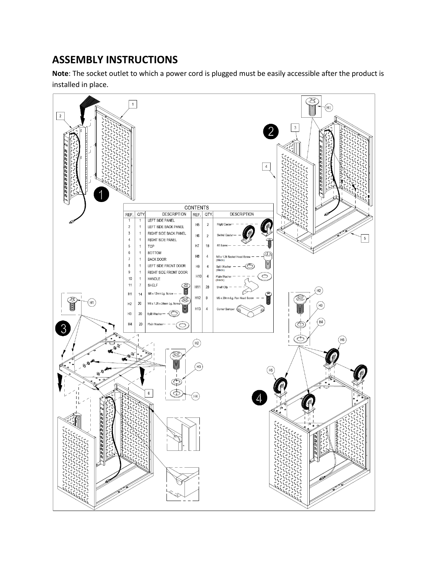### **ASSEMBLY INSTRUCTIONS**

**Note**: The socket outlet to which a power cord is plugged must be easily accessible after the product is installed in place.

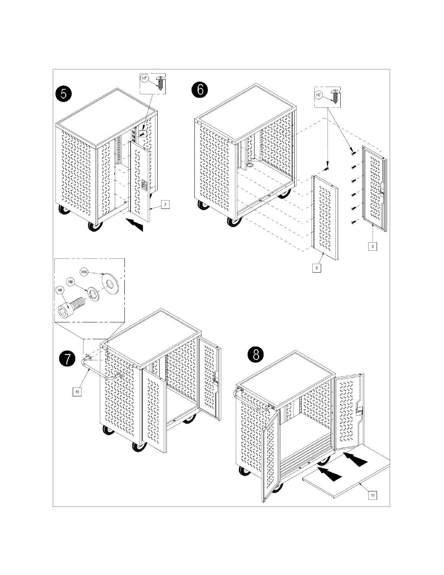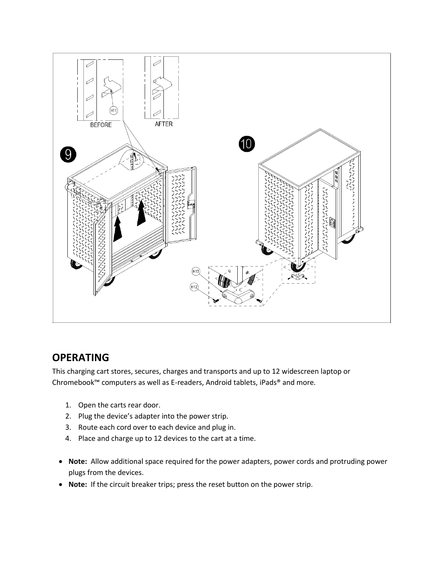

#### **OPERATING**

This charging cart stores, secures, charges and transports and up to 12 widescreen laptop or Chromebook™ computers as well as E-readers, Android tablets, iPads® and more.

- 1. Open the carts rear door.
- 2. Plug the device's adapter into the power strip.
- 3. Route each cord over to each device and plug in.
- 4. Place and charge up to 12 devices to the cart at a time.
- **Note:** Allow additional space required for the power adapters, power cords and protruding power plugs from the devices.
- **Note:** If the circuit breaker trips; press the reset button on the power strip.